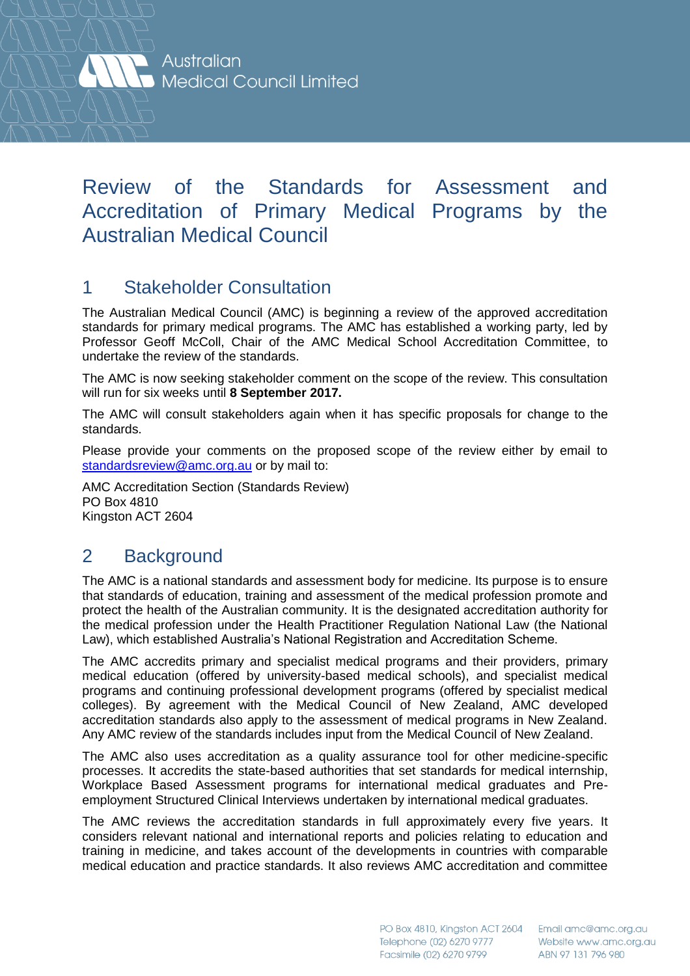

Australian **Medical Council Limited** 

# Review of the Standards for Assessment and Accreditation of Primary Medical Programs by the Australian Medical Council

# 1 Stakeholder Consultation

The Australian Medical Council (AMC) is beginning a review of the approved accreditation standards for primary medical programs. The AMC has established a working party, led by Professor Geoff McColl, Chair of the AMC Medical School Accreditation Committee, to undertake the review of the standards.

The AMC is now seeking stakeholder comment on the scope of the review. This consultation will run for six weeks until **8 September 2017.**

The AMC will consult stakeholders again when it has specific proposals for change to the standards.

Please provide your comments on the proposed scope of the review either by email to [standardsreview@amc.org.au](mailto:standardsreview@amc.org.au) or by mail to:

AMC Accreditation Section (Standards Review) PO Box 4810 Kingston ACT 2604

# 2 Background

The AMC is a national standards and assessment body for medicine. Its purpose is to ensure that standards of education, training and assessment of the medical profession promote and protect the health of the Australian community. It is the designated accreditation authority for the medical profession under the Health Practitioner Regulation National Law (the National Law), which established Australia's National Registration and Accreditation Scheme.

The AMC accredits primary and specialist medical programs and their providers, primary medical education (offered by university-based medical schools), and specialist medical programs and continuing professional development programs (offered by specialist medical colleges). By agreement with the Medical Council of New Zealand, AMC developed accreditation standards also apply to the assessment of medical programs in New Zealand. Any AMC review of the standards includes input from the Medical Council of New Zealand.

The AMC also uses accreditation as a quality assurance tool for other medicine-specific processes. It accredits the state-based authorities that set standards for medical internship, Workplace Based Assessment programs for international medical graduates and Preemployment Structured Clinical Interviews undertaken by international medical graduates.

The AMC reviews the accreditation standards in full approximately every five years. It considers relevant national and international reports and policies relating to education and training in medicine, and takes account of the developments in countries with comparable medical education and practice standards. It also reviews AMC accreditation and committee

> PO Box 4810, Kingston ACT 2604 Email amc@amc.org.au Telephone (02) 6270 9777 Facsimile (02) 6270 9799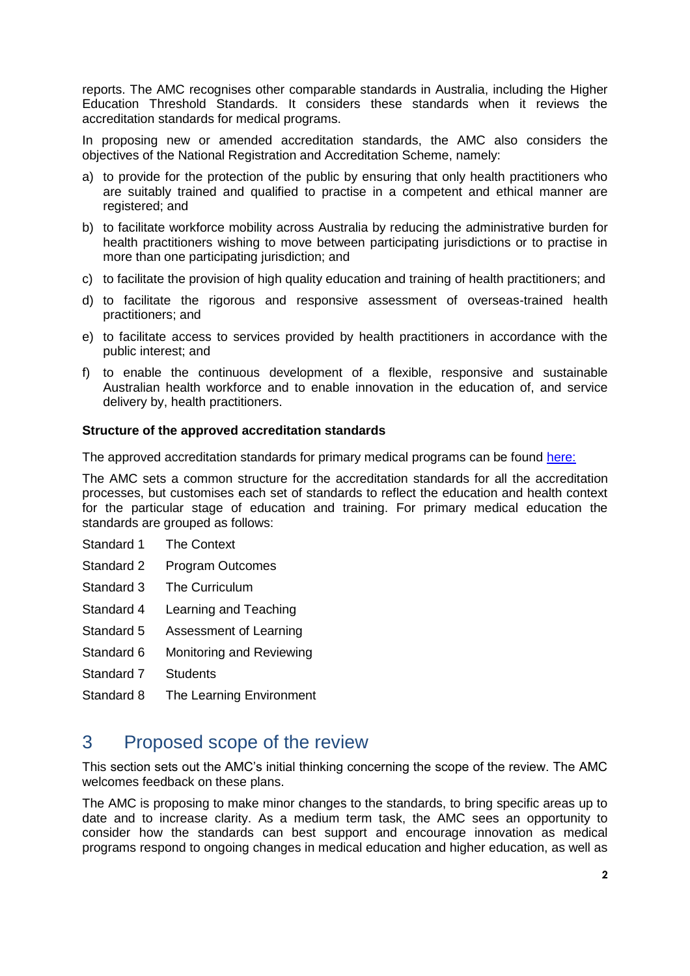reports. The AMC recognises other comparable standards in Australia, including the Higher Education Threshold Standards. It considers these standards when it reviews the accreditation standards for medical programs.

In proposing new or amended accreditation standards, the AMC also considers the objectives of the National Registration and Accreditation Scheme, namely:

- a) to provide for the protection of the public by ensuring that only health practitioners who are suitably trained and qualified to practise in a competent and ethical manner are registered; and
- b) to facilitate workforce mobility across Australia by reducing the administrative burden for health practitioners wishing to move between participating jurisdictions or to practise in more than one participating jurisdiction; and
- c) to facilitate the provision of high quality education and training of health practitioners; and
- d) to facilitate the rigorous and responsive assessment of overseas-trained health practitioners; and
- e) to facilitate access to services provided by health practitioners in accordance with the public interest; and
- f) to enable the continuous development of a flexible, responsive and sustainable Australian health workforce and to enable innovation in the education of, and service delivery by, health practitioners.

#### **Structure of the approved accreditation standards**

The approved accreditation standards for primary medical programs can be found [here:](http://www.amc.org.au/files/d0ffcecda9608cf49c66c93a79a4ad549638bea0_original.pdf)

The AMC sets a common structure for the accreditation standards for all the accreditation processes, but customises each set of standards to reflect the education and health context for the particular stage of education and training. For primary medical education the standards are grouped as follows:

- Standard 1 The Context
- Standard 2 Program Outcomes
- Standard 3 The Curriculum
- Standard 4 Learning and Teaching
- Standard 5 Assessment of Learning
- Standard 6 Monitoring and Reviewing
- Standard 7 Students
- Standard 8 The Learning Environment

# 3 Proposed scope of the review

This section sets out the AMC's initial thinking concerning the scope of the review. The AMC welcomes feedback on these plans.

The AMC is proposing to make minor changes to the standards, to bring specific areas up to date and to increase clarity. As a medium term task, the AMC sees an opportunity to consider how the standards can best support and encourage innovation as medical programs respond to ongoing changes in medical education and higher education, as well as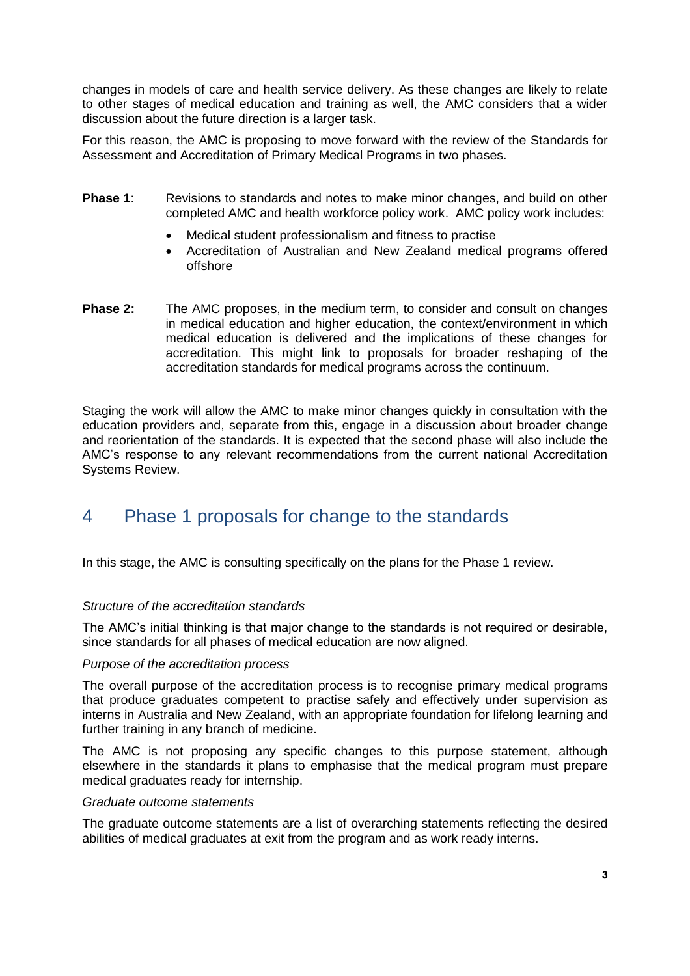changes in models of care and health service delivery. As these changes are likely to relate to other stages of medical education and training as well, the AMC considers that a wider discussion about the future direction is a larger task.

For this reason, the AMC is proposing to move forward with the review of the Standards for Assessment and Accreditation of Primary Medical Programs in two phases.

- **Phase 1**: Revisions to standards and notes to make minor changes, and build on other completed AMC and health workforce policy work. AMC policy work includes:
	- Medical student professionalism and fitness to practise
	- Accreditation of Australian and New Zealand medical programs offered offshore
- **Phase 2:** The AMC proposes, in the medium term, to consider and consult on changes in medical education and higher education, the context/environment in which medical education is delivered and the implications of these changes for accreditation. This might link to proposals for broader reshaping of the accreditation standards for medical programs across the continuum.

Staging the work will allow the AMC to make minor changes quickly in consultation with the education providers and, separate from this, engage in a discussion about broader change and reorientation of the standards. It is expected that the second phase will also include the AMC's response to any relevant recommendations from the current national Accreditation Systems Review.

# 4 Phase 1 proposals for change to the standards

In this stage, the AMC is consulting specifically on the plans for the Phase 1 review.

#### *Structure of the accreditation standards*

The AMC's initial thinking is that major change to the standards is not required or desirable, since standards for all phases of medical education are now aligned.

#### *Purpose of the accreditation process*

The overall purpose of the accreditation process is to recognise primary medical programs that produce graduates competent to practise safely and effectively under supervision as interns in Australia and New Zealand, with an appropriate foundation for lifelong learning and further training in any branch of medicine.

The AMC is not proposing any specific changes to this purpose statement, although elsewhere in the standards it plans to emphasise that the medical program must prepare medical graduates ready for internship.

#### *Graduate outcome statements*

The graduate outcome statements are a list of overarching statements reflecting the desired abilities of medical graduates at exit from the program and as work ready interns.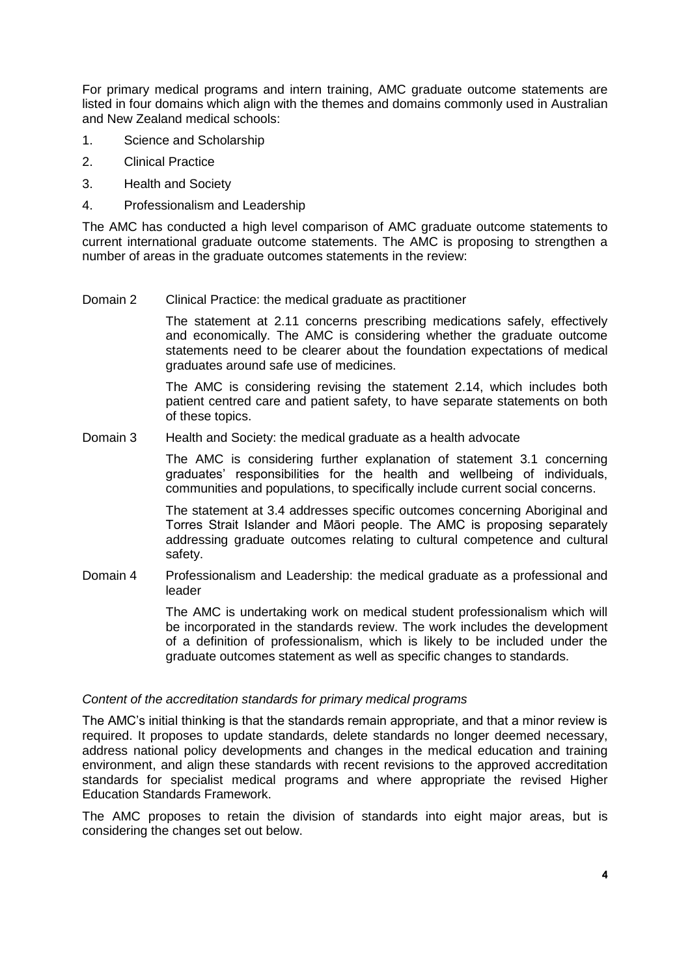For primary medical programs and intern training, AMC graduate outcome statements are listed in four domains which align with the themes and domains commonly used in Australian and New Zealand medical schools:

- 1. Science and Scholarship
- 2. Clinical Practice
- 3. Health and Society
- 4. Professionalism and Leadership

The AMC has conducted a high level comparison of AMC graduate outcome statements to current international graduate outcome statements. The AMC is proposing to strengthen a number of areas in the graduate outcomes statements in the review:

Domain 2 Clinical Practice: the medical graduate as practitioner

The statement at 2.11 concerns prescribing medications safely, effectively and economically. The AMC is considering whether the graduate outcome statements need to be clearer about the foundation expectations of medical graduates around safe use of medicines.

The AMC is considering revising the statement 2.14, which includes both patient centred care and patient safety, to have separate statements on both of these topics.

Domain 3 Health and Society: the medical graduate as a health advocate

The AMC is considering further explanation of statement 3.1 concerning graduates' responsibilities for the health and wellbeing of individuals, communities and populations, to specifically include current social concerns.

The statement at 3.4 addresses specific outcomes concerning Aboriginal and Torres Strait Islander and Māori people. The AMC is proposing separately addressing graduate outcomes relating to cultural competence and cultural safety.

Domain 4 Professionalism and Leadership: the medical graduate as a professional and leader

> The AMC is undertaking work on medical student professionalism which will be incorporated in the standards review. The work includes the development of a definition of professionalism, which is likely to be included under the graduate outcomes statement as well as specific changes to standards.

#### *Content of the accreditation standards for primary medical programs*

The AMC's initial thinking is that the standards remain appropriate, and that a minor review is required. It proposes to update standards, delete standards no longer deemed necessary, address national policy developments and changes in the medical education and training environment, and align these standards with recent revisions to the approved accreditation standards for specialist medical programs and where appropriate the revised Higher Education Standards Framework.

The AMC proposes to retain the division of standards into eight major areas, but is considering the changes set out below.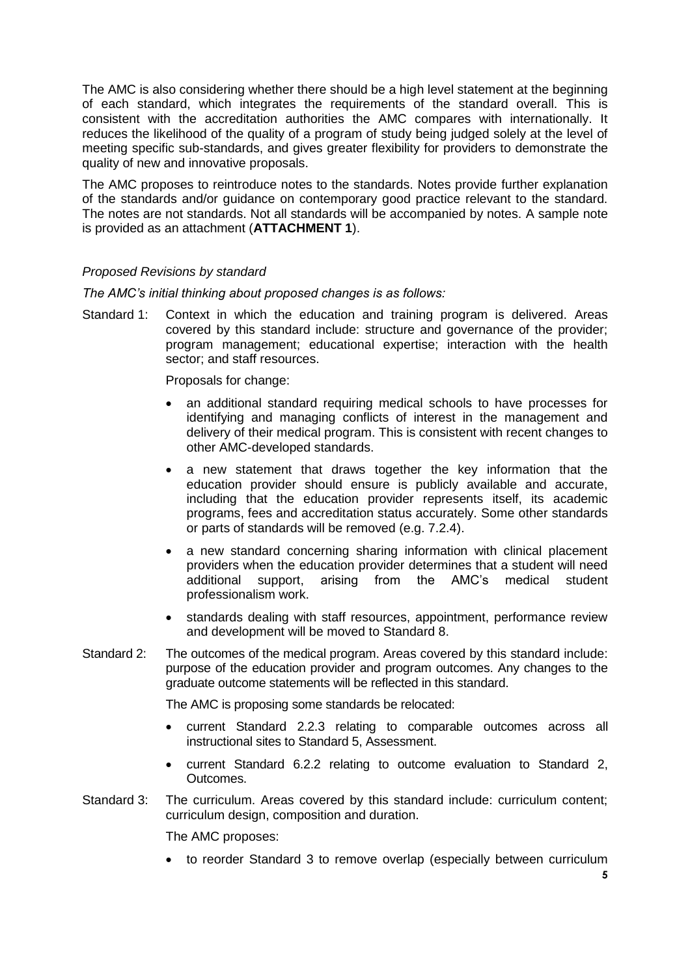The AMC is also considering whether there should be a high level statement at the beginning of each standard, which integrates the requirements of the standard overall. This is consistent with the accreditation authorities the AMC compares with internationally. It reduces the likelihood of the quality of a program of study being judged solely at the level of meeting specific sub-standards, and gives greater flexibility for providers to demonstrate the quality of new and innovative proposals.

The AMC proposes to reintroduce notes to the standards. Notes provide further explanation of the standards and/or guidance on contemporary good practice relevant to the standard. The notes are not standards. Not all standards will be accompanied by notes. A sample note is provided as an attachment (**ATTACHMENT 1**).

### *Proposed Revisions by standard*

*The AMC's initial thinking about proposed changes is as follows:*

Standard 1: Context in which the education and training program is delivered. Areas covered by this standard include: structure and governance of the provider; program management; educational expertise; interaction with the health sector; and staff resources.

Proposals for change:

- an additional standard requiring medical schools to have processes for identifying and managing conflicts of interest in the management and delivery of their medical program. This is consistent with recent changes to other AMC-developed standards.
- a new statement that draws together the key information that the education provider should ensure is publicly available and accurate, including that the education provider represents itself, its academic programs, fees and accreditation status accurately. Some other standards or parts of standards will be removed (e.g. 7.2.4).
- a new standard concerning sharing information with clinical placement providers when the education provider determines that a student will need additional support, arising from the AMC's medical student professionalism work.
- standards dealing with staff resources, appointment, performance review and development will be moved to Standard 8.
- Standard 2: The outcomes of the medical program. Areas covered by this standard include: purpose of the education provider and program outcomes. Any changes to the graduate outcome statements will be reflected in this standard.

The AMC is proposing some standards be relocated:

- current Standard 2.2.3 relating to comparable outcomes across all instructional sites to Standard 5, Assessment.
- current Standard 6.2.2 relating to outcome evaluation to Standard 2, Outcomes.
- Standard 3: The curriculum. Areas covered by this standard include: curriculum content; curriculum design, composition and duration.

The AMC proposes:

• to reorder Standard 3 to remove overlap (especially between curriculum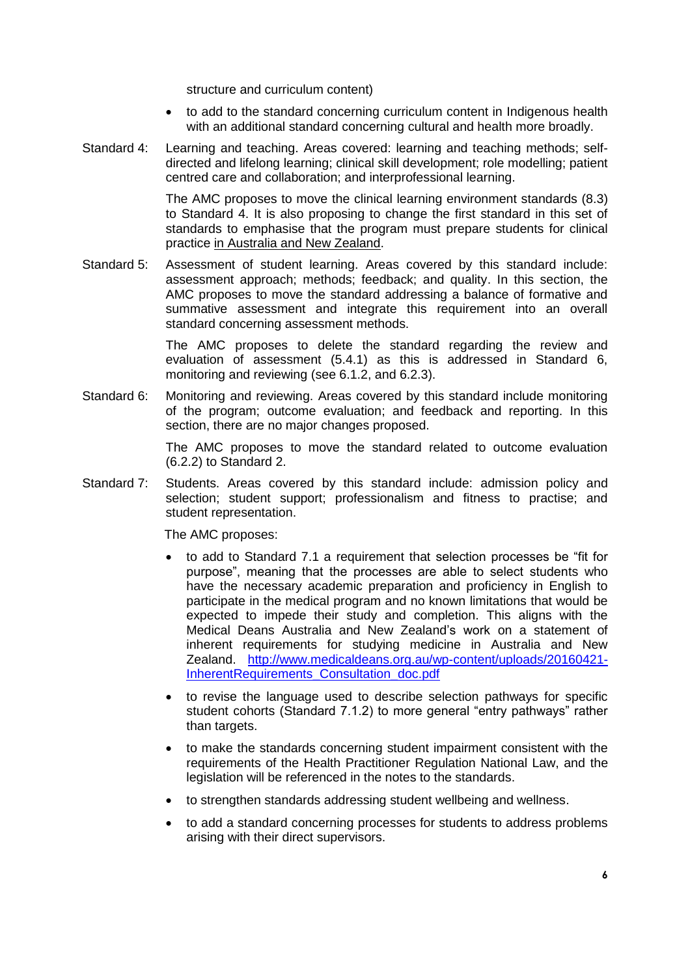structure and curriculum content)

- to add to the standard concerning curriculum content in Indigenous health with an additional standard concerning cultural and health more broadly.
- Standard 4: Learning and teaching. Areas covered: learning and teaching methods; selfdirected and lifelong learning; clinical skill development; role modelling; patient centred care and collaboration; and interprofessional learning.

The AMC proposes to move the clinical learning environment standards (8.3) to Standard 4. It is also proposing to change the first standard in this set of standards to emphasise that the program must prepare students for clinical practice in Australia and New Zealand.

Standard 5: Assessment of student learning. Areas covered by this standard include: assessment approach; methods; feedback; and quality. In this section, the AMC proposes to move the standard addressing a balance of formative and summative assessment and integrate this requirement into an overall standard concerning assessment methods.

> The AMC proposes to delete the standard regarding the review and evaluation of assessment (5.4.1) as this is addressed in Standard 6, monitoring and reviewing (see 6.1.2, and 6.2.3).

Standard 6: Monitoring and reviewing. Areas covered by this standard include monitoring of the program; outcome evaluation; and feedback and reporting. In this section, there are no major changes proposed.

> The AMC proposes to move the standard related to outcome evaluation (6.2.2) to Standard 2.

Standard 7: Students. Areas covered by this standard include: admission policy and selection; student support; professionalism and fitness to practise; and student representation.

The AMC proposes:

- to add to Standard 7.1 a requirement that selection processes be "fit for purpose", meaning that the processes are able to select students who have the necessary academic preparation and proficiency in English to participate in the medical program and no known limitations that would be expected to impede their study and completion. This aligns with the Medical Deans Australia and New Zealand's work on a statement of inherent requirements for studying medicine in Australia and New Zealand. [http://www.medicaldeans.org.au/wp-content/uploads/20160421-](http://www.medicaldeans.org.au/wp-content/uploads/20160421-InherentRequirements_Consultation_doc.pdf) [InherentRequirements\\_Consultation\\_doc.pdf](http://www.medicaldeans.org.au/wp-content/uploads/20160421-InherentRequirements_Consultation_doc.pdf)
- to revise the language used to describe selection pathways for specific student cohorts (Standard 7.1.2) to more general "entry pathways" rather than targets.
- to make the standards concerning student impairment consistent with the requirements of the Health Practitioner Regulation National Law, and the legislation will be referenced in the notes to the standards.
- to strengthen standards addressing student wellbeing and wellness.
- to add a standard concerning processes for students to address problems arising with their direct supervisors.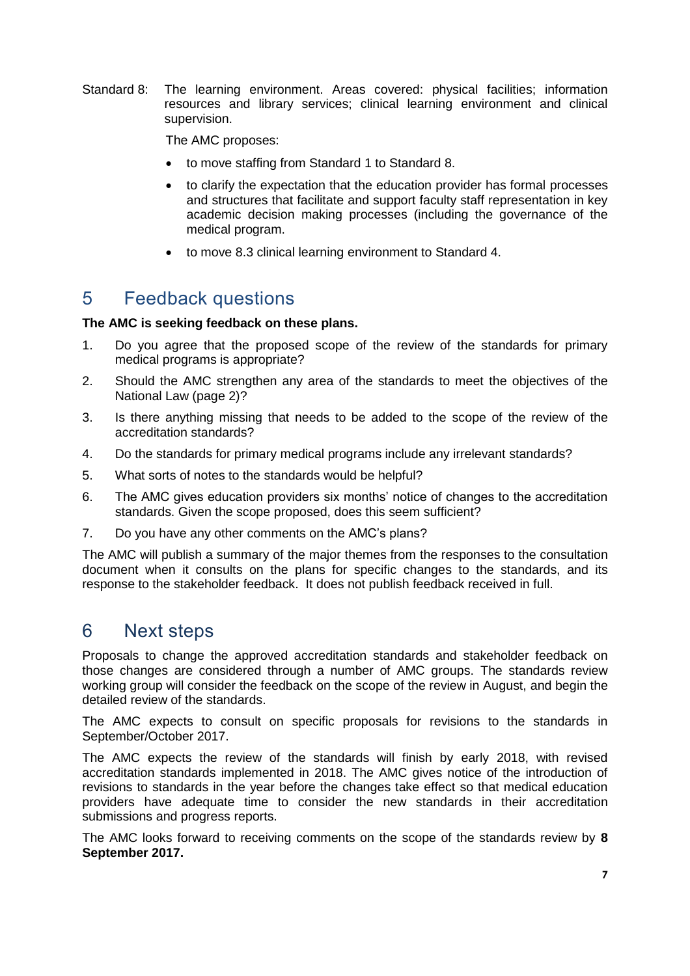Standard 8: The learning environment. Areas covered: physical facilities; information resources and library services; clinical learning environment and clinical supervision.

The AMC proposes:

- to move staffing from Standard 1 to Standard 8.
- to clarify the expectation that the education provider has formal processes and structures that facilitate and support faculty staff representation in key academic decision making processes (including the governance of the medical program.
- to move 8.3 clinical learning environment to Standard 4.

### 5 Feedback questions

### **The AMC is seeking feedback on these plans.**

- 1. Do you agree that the proposed scope of the review of the standards for primary medical programs is appropriate?
- 2. Should the AMC strengthen any area of the standards to meet the objectives of the National Law (page 2)?
- 3. Is there anything missing that needs to be added to the scope of the review of the accreditation standards?
- 4. Do the standards for primary medical programs include any irrelevant standards?
- 5. What sorts of notes to the standards would be helpful?
- 6. The AMC gives education providers six months' notice of changes to the accreditation standards. Given the scope proposed, does this seem sufficient?
- 7. Do you have any other comments on the AMC's plans?

The AMC will publish a summary of the major themes from the responses to the consultation document when it consults on the plans for specific changes to the standards, and its response to the stakeholder feedback. It does not publish feedback received in full.

# 6 Next steps

Proposals to change the approved accreditation standards and stakeholder feedback on those changes are considered through a number of AMC groups. The standards review working group will consider the feedback on the scope of the review in August, and begin the detailed review of the standards.

The AMC expects to consult on specific proposals for revisions to the standards in September/October 2017.

The AMC expects the review of the standards will finish by early 2018, with revised accreditation standards implemented in 2018. The AMC gives notice of the introduction of revisions to standards in the year before the changes take effect so that medical education providers have adequate time to consider the new standards in their accreditation submissions and progress reports.

The AMC looks forward to receiving comments on the scope of the standards review by **8 September 2017.**